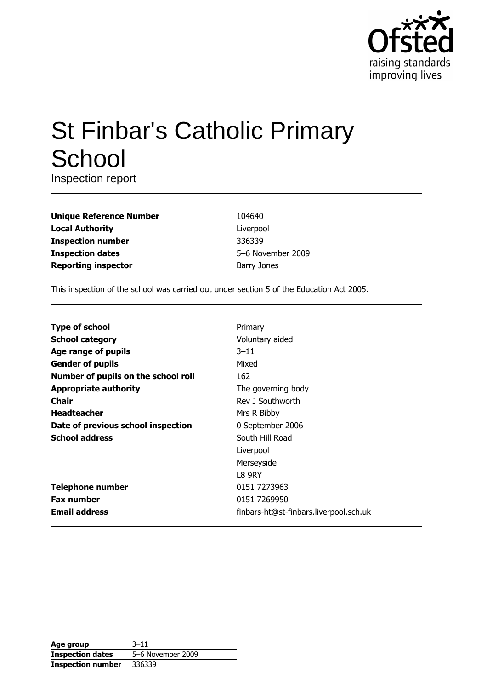

# **St Finbar's Catholic Primary** School

Inspection report

| <b>Unique Reference Number</b> |
|--------------------------------|
| <b>Local Authority</b>         |
| <b>Inspection number</b>       |
| <b>Inspection dates</b>        |
| <b>Reporting inspector</b>     |

104640 Liverpool 336339 5-6 November 2009 **Barry Jones** 

This inspection of the school was carried out under section 5 of the Education Act 2005.

| <b>Type of school</b>               | Primary                                |
|-------------------------------------|----------------------------------------|
| <b>School category</b>              | Voluntary aided                        |
| Age range of pupils                 | $3 - 11$                               |
| <b>Gender of pupils</b>             | Mixed                                  |
| Number of pupils on the school roll | 162                                    |
| <b>Appropriate authority</b>        | The governing body                     |
| Chair                               | Rev J Southworth                       |
| <b>Headteacher</b>                  | Mrs R Bibby                            |
| Date of previous school inspection  | 0 September 2006                       |
| <b>School address</b>               | South Hill Road                        |
|                                     | Liverpool                              |
|                                     | Merseyside                             |
|                                     | L8 9RY                                 |
| <b>Telephone number</b>             | 0151 7273963                           |
| <b>Fax number</b>                   | 0151 7269950                           |
| <b>Email address</b>                | finbars-ht@st-finbars.liverpool.sch.uk |

| Age group                | $3 - 11$          |
|--------------------------|-------------------|
| <b>Inspection dates</b>  | 5-6 November 2009 |
| <b>Inspection number</b> | 336339            |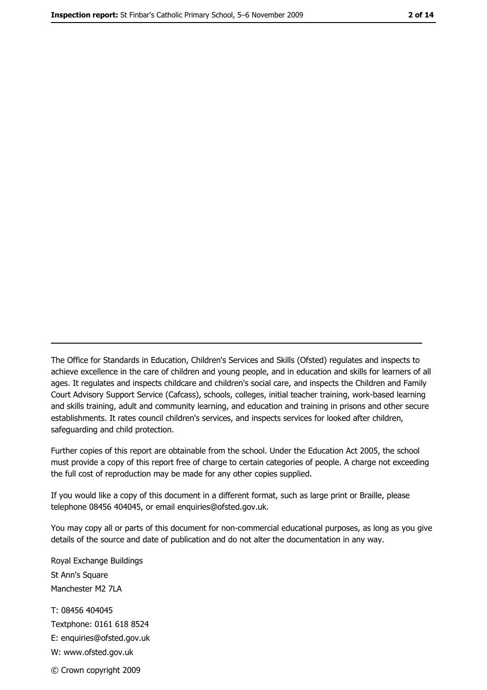The Office for Standards in Education, Children's Services and Skills (Ofsted) regulates and inspects to achieve excellence in the care of children and young people, and in education and skills for learners of all ages. It regulates and inspects childcare and children's social care, and inspects the Children and Family Court Advisory Support Service (Cafcass), schools, colleges, initial teacher training, work-based learning and skills training, adult and community learning, and education and training in prisons and other secure establishments. It rates council children's services, and inspects services for looked after children, safequarding and child protection.

Further copies of this report are obtainable from the school. Under the Education Act 2005, the school must provide a copy of this report free of charge to certain categories of people. A charge not exceeding the full cost of reproduction may be made for any other copies supplied.

If you would like a copy of this document in a different format, such as large print or Braille, please telephone 08456 404045, or email enquiries@ofsted.gov.uk.

You may copy all or parts of this document for non-commercial educational purposes, as long as you give details of the source and date of publication and do not alter the documentation in any way.

Royal Exchange Buildings St Ann's Square Manchester M2 7LA T: 08456 404045 Textphone: 0161 618 8524 E: enquiries@ofsted.gov.uk W: www.ofsted.gov.uk © Crown copyright 2009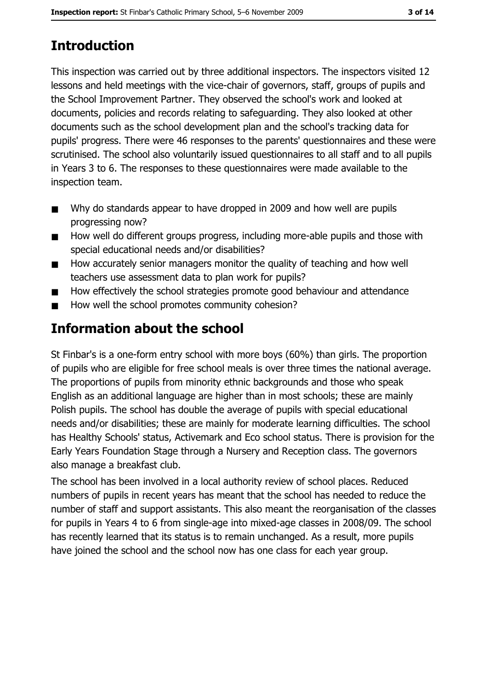# **Introduction**

This inspection was carried out by three additional inspectors. The inspectors visited 12 lessons and held meetings with the vice-chair of governors, staff, groups of pupils and the School Improvement Partner. They observed the school's work and looked at documents, policies and records relating to safeguarding. They also looked at other documents such as the school development plan and the school's tracking data for pupils' progress. There were 46 responses to the parents' guestionnaires and these were scrutinised. The school also voluntarily issued questionnaires to all staff and to all pupils in Years 3 to 6. The responses to these questionnaires were made available to the inspection team.

- Why do standards appear to have dropped in 2009 and how well are pupils  $\blacksquare$ progressing now?
- How well do different groups progress, including more-able pupils and those with  $\blacksquare$ special educational needs and/or disabilities?
- How accurately senior managers monitor the quality of teaching and how well  $\blacksquare$ teachers use assessment data to plan work for pupils?
- How effectively the school strategies promote good behaviour and attendance  $\blacksquare$
- How well the school promotes community cohesion?

# Information about the school

St Finbar's is a one-form entry school with more boys (60%) than girls. The proportion of pupils who are eligible for free school meals is over three times the national average. The proportions of pupils from minority ethnic backgrounds and those who speak English as an additional language are higher than in most schools; these are mainly Polish pupils. The school has double the average of pupils with special educational needs and/or disabilities; these are mainly for moderate learning difficulties. The school has Healthy Schools' status, Activemark and Eco school status. There is provision for the Early Years Foundation Stage through a Nursery and Reception class. The governors also manage a breakfast club.

The school has been involved in a local authority review of school places. Reduced numbers of pupils in recent years has meant that the school has needed to reduce the number of staff and support assistants. This also meant the reorganisation of the classes for pupils in Years 4 to 6 from single-age into mixed-age classes in 2008/09. The school has recently learned that its status is to remain unchanged. As a result, more pupils have joined the school and the school now has one class for each year group.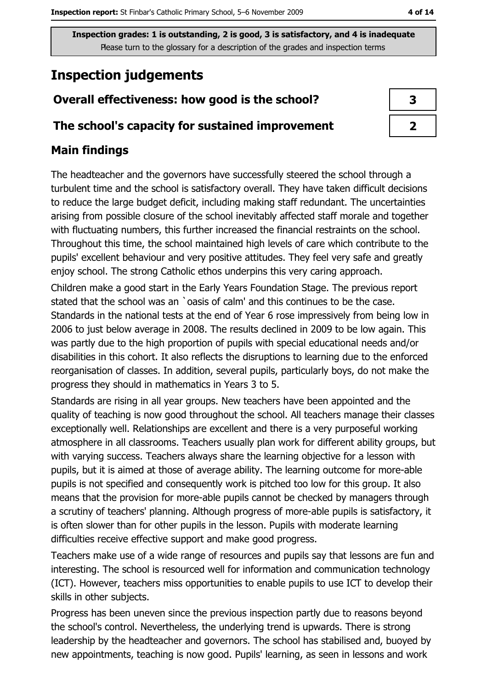# **Inspection judgements**

# Overall effectiveness: how good is the school?

## The school's capacity for sustained improvement

# **Main findings**

The headteacher and the governors have successfully steered the school through a turbulent time and the school is satisfactory overall. They have taken difficult decisions to reduce the large budget deficit, including making staff redundant. The uncertainties arising from possible closure of the school inevitably affected staff morale and together with fluctuating numbers, this further increased the financial restraints on the school. Throughout this time, the school maintained high levels of care which contribute to the pupils' excellent behaviour and very positive attitudes. They feel very safe and greatly enjoy school. The strong Catholic ethos underpins this very caring approach.

Children make a good start in the Early Years Foundation Stage. The previous report stated that the school was an `oasis of calm' and this continues to be the case. Standards in the national tests at the end of Year 6 rose impressively from being low in 2006 to just below average in 2008. The results declined in 2009 to be low again. This was partly due to the high proportion of pupils with special educational needs and/or disabilities in this cohort. It also reflects the disruptions to learning due to the enforced reorganisation of classes. In addition, several pupils, particularly boys, do not make the progress they should in mathematics in Years 3 to 5.

Standards are rising in all year groups. New teachers have been appointed and the quality of teaching is now good throughout the school. All teachers manage their classes exceptionally well. Relationships are excellent and there is a very purposeful working atmosphere in all classrooms. Teachers usually plan work for different ability groups, but with varying success. Teachers always share the learning objective for a lesson with pupils, but it is aimed at those of average ability. The learning outcome for more-able pupils is not specified and consequently work is pitched too low for this group. It also means that the provision for more-able pupils cannot be checked by managers through a scrutiny of teachers' planning. Although progress of more-able pupils is satisfactory, it is often slower than for other pupils in the lesson. Pupils with moderate learning difficulties receive effective support and make good progress.

Teachers make use of a wide range of resources and pupils say that lessons are fun and interesting. The school is resourced well for information and communication technology (ICT). However, teachers miss opportunities to enable pupils to use ICT to develop their skills in other subjects.

Progress has been uneven since the previous inspection partly due to reasons beyond the school's control. Nevertheless, the underlying trend is upwards. There is strong leadership by the headteacher and governors. The school has stabilised and, buoyed by new appointments, teaching is now good. Pupils' learning, as seen in lessons and work

| 3 |  |
|---|--|
|   |  |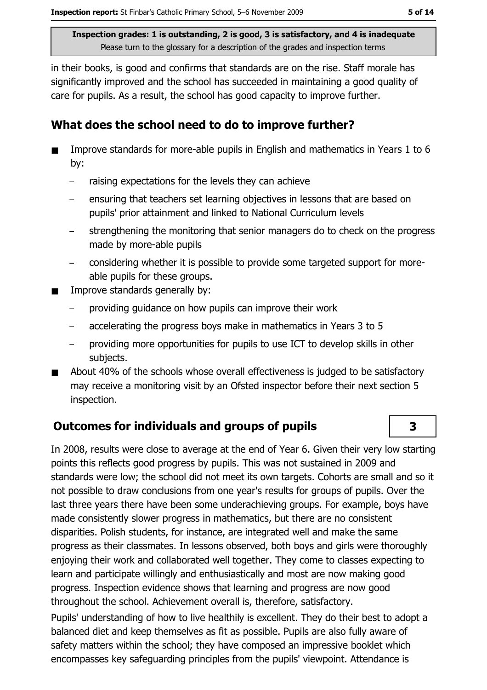in their books, is good and confirms that standards are on the rise. Staff morale has significantly improved and the school has succeeded in maintaining a good quality of care for pupils. As a result, the school has good capacity to improve further.

## What does the school need to do to improve further?

- Improve standards for more-able pupils in English and mathematics in Years 1 to 6 by:
	- raising expectations for the levels they can achieve  $\,$
	- ensuring that teachers set learning objectives in lessons that are based on pupils' prior attainment and linked to National Curriculum levels
	- strengthening the monitoring that senior managers do to check on the progress made by more-able pupils
	- considering whether it is possible to provide some targeted support for moreable pupils for these groups.
- Improve standards generally by:  $\blacksquare$ 
	- providing guidance on how pupils can improve their work
	- accelerating the progress boys make in mathematics in Years 3 to 5  $\equiv$
	- providing more opportunities for pupils to use ICT to develop skills in other subjects.
- About 40% of the schools whose overall effectiveness is judged to be satisfactory may receive a monitoring visit by an Ofsted inspector before their next section 5 inspection.

# **Outcomes for individuals and groups of pupils**

In 2008, results were close to average at the end of Year 6. Given their very low starting points this reflects good progress by pupils. This was not sustained in 2009 and standards were low; the school did not meet its own targets. Cohorts are small and so it not possible to draw conclusions from one year's results for groups of pupils. Over the last three years there have been some underachieving groups. For example, boys have made consistently slower progress in mathematics, but there are no consistent disparities. Polish students, for instance, are integrated well and make the same progress as their classmates. In lessons observed, both boys and girls were thoroughly enjoying their work and collaborated well together. They come to classes expecting to learn and participate willingly and enthusiastically and most are now making good progress. Inspection evidence shows that learning and progress are now good throughout the school. Achievement overall is, therefore, satisfactory. Pupils' understanding of how to live healthily is excellent. They do their best to adopt a balanced diet and keep themselves as fit as possible. Pupils are also fully aware of

safety matters within the school; they have composed an impressive booklet which encompasses key safequarding principles from the pupils' viewpoint. Attendance is

5 of 14

 $\overline{\mathbf{3}}$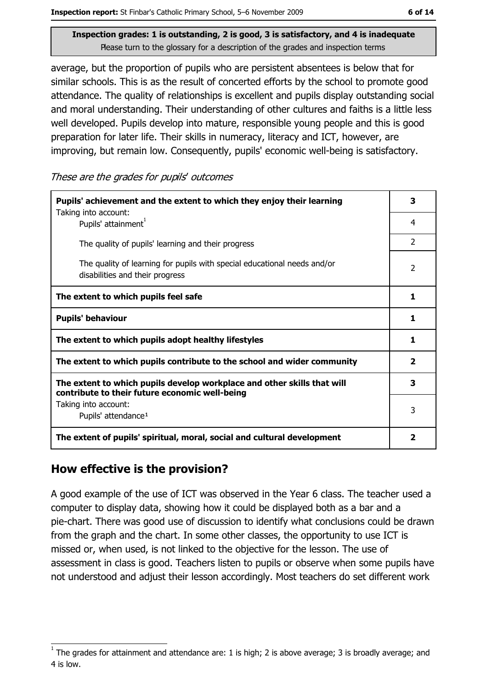Inspection report: St Finbar's Catholic Primary School, 5-6 November 2009

Inspection grades: 1 is outstanding, 2 is good, 3 is satisfactory, and 4 is inadequate Please turn to the glossary for a description of the grades and inspection terms

average, but the proportion of pupils who are persistent absentees is below that for similar schools. This is as the result of concerted efforts by the school to promote good attendance. The quality of relationships is excellent and pupils display outstanding social and moral understanding. Their understanding of other cultures and faiths is a little less well developed. Pupils develop into mature, responsible young people and this is good preparation for later life. Their skills in numeracy, literacy and ICT, however, are improving, but remain low. Consequently, pupils' economic well-being is satisfactory.

These are the grades for pupils' outcomes

| Pupils' achievement and the extent to which they enjoy their learning                                                     |                          |
|---------------------------------------------------------------------------------------------------------------------------|--------------------------|
| Taking into account:<br>Pupils' attainment <sup>1</sup>                                                                   | 4                        |
| The quality of pupils' learning and their progress                                                                        | $\overline{2}$           |
| The quality of learning for pupils with special educational needs and/or<br>disabilities and their progress               | $\overline{\phantom{a}}$ |
| The extent to which pupils feel safe                                                                                      | 1                        |
| <b>Pupils' behaviour</b>                                                                                                  | 1                        |
| The extent to which pupils adopt healthy lifestyles                                                                       | 1                        |
| The extent to which pupils contribute to the school and wider community                                                   | $\overline{\mathbf{2}}$  |
| The extent to which pupils develop workplace and other skills that will<br>contribute to their future economic well-being | 3                        |
| Taking into account:<br>Pupils' attendance <sup>1</sup>                                                                   | 3                        |
| The extent of pupils' spiritual, moral, social and cultural development                                                   | 2                        |

# How effective is the provision?

A good example of the use of ICT was observed in the Year 6 class. The teacher used a computer to display data, showing how it could be displayed both as a bar and a pie-chart. There was good use of discussion to identify what conclusions could be drawn from the graph and the chart. In some other classes, the opportunity to use ICT is missed or, when used, is not linked to the objective for the lesson. The use of assessment in class is good. Teachers listen to pupils or observe when some pupils have not understood and adjust their lesson accordingly. Most teachers do set different work

The grades for attainment and attendance are: 1 is high; 2 is above average; 3 is broadly average; and 4 is low.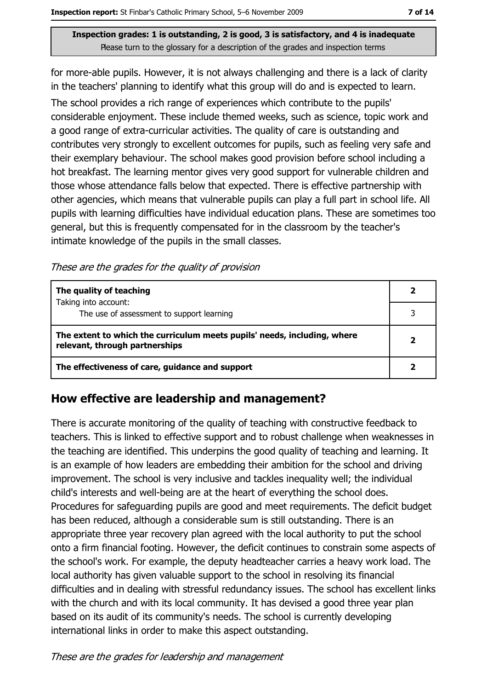for more-able pupils. However, it is not always challenging and there is a lack of clarity in the teachers' planning to identify what this group will do and is expected to learn. The school provides a rich range of experiences which contribute to the pupils' considerable enjoyment. These include themed weeks, such as science, topic work and a good range of extra-curricular activities. The quality of care is outstanding and contributes very strongly to excellent outcomes for pupils, such as feeling very safe and their exemplary behaviour. The school makes good provision before school including a hot breakfast. The learning mentor gives very good support for vulnerable children and those whose attendance falls below that expected. There is effective partnership with other agencies, which means that vulnerable pupils can play a full part in school life. All pupils with learning difficulties have individual education plans. These are sometimes too general, but this is frequently compensated for in the classroom by the teacher's intimate knowledge of the pupils in the small classes.

These are the grades for the quality of provision

| The quality of teaching                                                                                    |  |
|------------------------------------------------------------------------------------------------------------|--|
| Taking into account:<br>The use of assessment to support learning                                          |  |
| The extent to which the curriculum meets pupils' needs, including, where<br>relevant, through partnerships |  |
| The effectiveness of care, guidance and support                                                            |  |

# How effective are leadership and management?

There is accurate monitoring of the quality of teaching with constructive feedback to teachers. This is linked to effective support and to robust challenge when weaknesses in the teaching are identified. This underpins the good quality of teaching and learning. It is an example of how leaders are embedding their ambition for the school and driving improvement. The school is very inclusive and tackles inequality well; the individual child's interests and well-being are at the heart of everything the school does. Procedures for safeguarding pupils are good and meet requirements. The deficit budget has been reduced, although a considerable sum is still outstanding. There is an appropriate three year recovery plan agreed with the local authority to put the school onto a firm financial footing. However, the deficit continues to constrain some aspects of the school's work. For example, the deputy headteacher carries a heavy work load. The local authority has given valuable support to the school in resolving its financial difficulties and in dealing with stressful redundancy issues. The school has excellent links with the church and with its local community. It has devised a good three year plan based on its audit of its community's needs. The school is currently developing international links in order to make this aspect outstanding.

These are the grades for leadership and management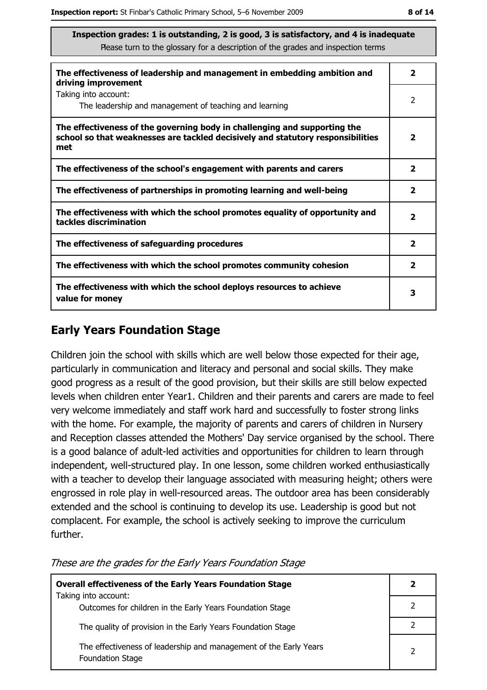| The effectiveness of leadership and management in embedding ambition and<br>driving improvement                                                                     | 2                       |
|---------------------------------------------------------------------------------------------------------------------------------------------------------------------|-------------------------|
| Taking into account:<br>The leadership and management of teaching and learning                                                                                      | 2                       |
| The effectiveness of the governing body in challenging and supporting the<br>school so that weaknesses are tackled decisively and statutory responsibilities<br>met | $\overline{\mathbf{2}}$ |
| The effectiveness of the school's engagement with parents and carers                                                                                                | $\overline{\mathbf{2}}$ |
| The effectiveness of partnerships in promoting learning and well-being                                                                                              | 2                       |
| The effectiveness with which the school promotes equality of opportunity and<br>tackles discrimination                                                              | $\overline{\mathbf{2}}$ |
| The effectiveness of safeguarding procedures                                                                                                                        | $\overline{\mathbf{2}}$ |
| The effectiveness with which the school promotes community cohesion                                                                                                 | $\overline{\mathbf{2}}$ |
| The effectiveness with which the school deploys resources to achieve<br>value for money                                                                             | З                       |

# **Early Years Foundation Stage**

Children join the school with skills which are well below those expected for their age, particularly in communication and literacy and personal and social skills. They make good progress as a result of the good provision, but their skills are still below expected levels when children enter Year1. Children and their parents and carers are made to feel very welcome immediately and staff work hard and successfully to foster strong links with the home. For example, the majority of parents and carers of children in Nursery and Reception classes attended the Mothers' Day service organised by the school. There is a good balance of adult-led activities and opportunities for children to learn through independent, well-structured play. In one lesson, some children worked enthusiastically with a teacher to develop their language associated with measuring height; others were engrossed in role play in well-resourced areas. The outdoor area has been considerably extended and the school is continuing to develop its use. Leadership is good but not complacent. For example, the school is actively seeking to improve the curriculum further.

These are the grades for the Early Years Foundation Stage

| <b>Overall effectiveness of the Early Years Foundation Stage</b>                             | 2 |
|----------------------------------------------------------------------------------------------|---|
| Taking into account:<br>Outcomes for children in the Early Years Foundation Stage            |   |
| The quality of provision in the Early Years Foundation Stage                                 |   |
| The effectiveness of leadership and management of the Early Years<br><b>Foundation Stage</b> |   |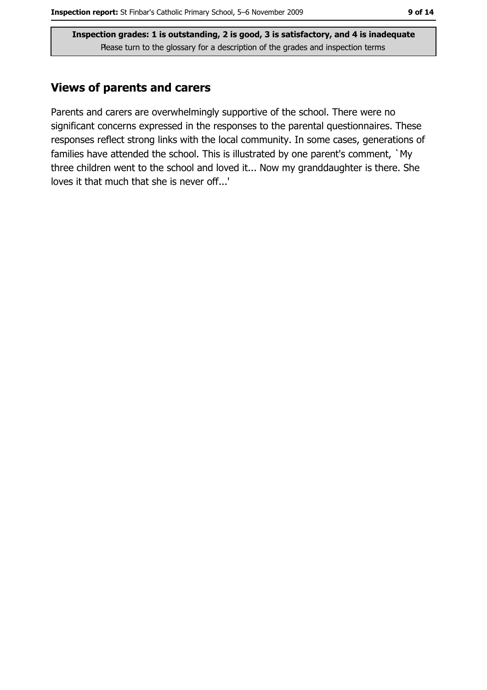## **Views of parents and carers**

Parents and carers are overwhelmingly supportive of the school. There were no significant concerns expressed in the responses to the parental questionnaires. These responses reflect strong links with the local community. In some cases, generations of families have attended the school. This is illustrated by one parent's comment, `My three children went to the school and loved it... Now my granddaughter is there. She loves it that much that she is never off...'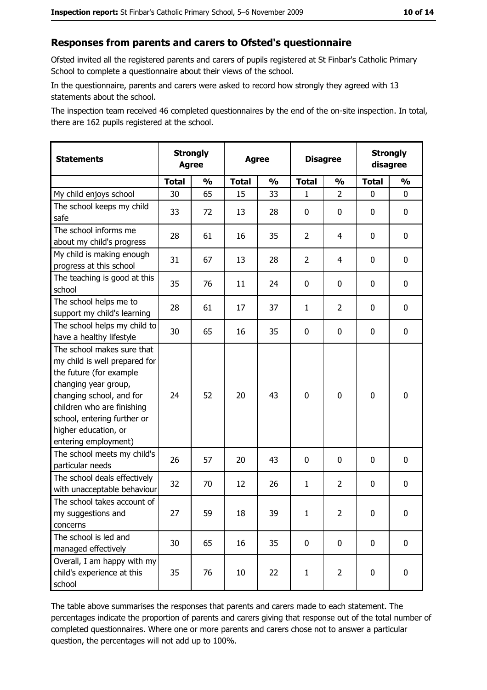#### Responses from parents and carers to Ofsted's questionnaire

Ofsted invited all the registered parents and carers of pupils registered at St Finbar's Catholic Primary School to complete a questionnaire about their views of the school.

In the questionnaire, parents and carers were asked to record how strongly they agreed with 13 statements about the school.

The inspection team received 46 completed questionnaires by the end of the on-site inspection. In total, there are 162 pupils registered at the school.

| <b>Statements</b>                                                                                                                                                                                                                                       | <b>Strongly</b><br><b>Agree</b> |               | <b>Agree</b> |               | <b>Disagree</b> |                | <b>Strongly</b><br>disagree |               |
|---------------------------------------------------------------------------------------------------------------------------------------------------------------------------------------------------------------------------------------------------------|---------------------------------|---------------|--------------|---------------|-----------------|----------------|-----------------------------|---------------|
|                                                                                                                                                                                                                                                         | <b>Total</b>                    | $\frac{1}{2}$ | <b>Total</b> | $\frac{0}{0}$ | <b>Total</b>    | $\frac{1}{2}$  | <b>Total</b>                | $\frac{1}{2}$ |
| My child enjoys school                                                                                                                                                                                                                                  | 30                              | 65            | 15           | 33            | 1               | $\overline{2}$ | 0                           | 0             |
| The school keeps my child<br>safe                                                                                                                                                                                                                       | 33                              | 72            | 13           | 28            | $\mathbf 0$     | 0              | 0                           | 0             |
| The school informs me<br>about my child's progress                                                                                                                                                                                                      | 28                              | 61            | 16           | 35            | $\overline{2}$  | 4              | $\mathbf{0}$                | 0             |
| My child is making enough<br>progress at this school                                                                                                                                                                                                    | 31                              | 67            | 13           | 28            | $\overline{2}$  | 4              | 0                           | 0             |
| The teaching is good at this<br>school                                                                                                                                                                                                                  | 35                              | 76            | 11           | 24            | $\mathbf 0$     | 0              | 0                           | 0             |
| The school helps me to<br>support my child's learning                                                                                                                                                                                                   | 28                              | 61            | 17           | 37            | $\mathbf{1}$    | $\overline{2}$ | 0                           | 0             |
| The school helps my child to<br>have a healthy lifestyle                                                                                                                                                                                                | 30                              | 65            | 16           | 35            | $\mathbf 0$     | 0              | 0                           | 0             |
| The school makes sure that<br>my child is well prepared for<br>the future (for example<br>changing year group,<br>changing school, and for<br>children who are finishing<br>school, entering further or<br>higher education, or<br>entering employment) | 24                              | 52            | 20           | 43            | $\mathbf 0$     | 0              | $\mathbf 0$                 | 0             |
| The school meets my child's<br>particular needs                                                                                                                                                                                                         | 26                              | 57            | 20           | 43            | $\mathbf 0$     | 0              | 0                           | 0             |
| The school deals effectively<br>with unacceptable behaviour                                                                                                                                                                                             | 32                              | 70            | 12           | 26            | $\mathbf{1}$    | $\overline{2}$ | 0                           | 0             |
| The school takes account of<br>my suggestions and<br>concerns                                                                                                                                                                                           | 27                              | 59            | 18           | 39            | $\mathbf{1}$    | 2              | 0                           | 0             |
| The school is led and<br>managed effectively                                                                                                                                                                                                            | 30                              | 65            | 16           | 35            | $\mathbf 0$     | 0              | 0                           | $\mathbf 0$   |
| Overall, I am happy with my<br>child's experience at this<br>school                                                                                                                                                                                     | 35                              | 76            | 10           | 22            | $\mathbf{1}$    | $\overline{2}$ | $\mathbf 0$                 | 0             |

The table above summarises the responses that parents and carers made to each statement. The percentages indicate the proportion of parents and carers giving that response out of the total number of completed questionnaires. Where one or more parents and carers chose not to answer a particular question, the percentages will not add up to 100%.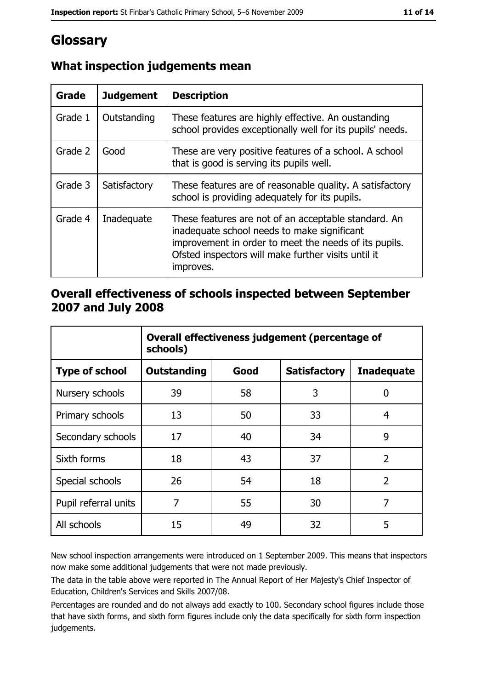# Glossary

| Grade   | <b>Judgement</b> | <b>Description</b>                                                                                                                                                                                                               |
|---------|------------------|----------------------------------------------------------------------------------------------------------------------------------------------------------------------------------------------------------------------------------|
| Grade 1 | Outstanding      | These features are highly effective. An oustanding<br>school provides exceptionally well for its pupils' needs.                                                                                                                  |
| Grade 2 | Good             | These are very positive features of a school. A school<br>that is good is serving its pupils well.                                                                                                                               |
| Grade 3 | Satisfactory     | These features are of reasonable quality. A satisfactory<br>school is providing adequately for its pupils.                                                                                                                       |
| Grade 4 | Inadequate       | These features are not of an acceptable standard. An<br>inadequate school needs to make significant<br>improvement in order to meet the needs of its pupils.<br>Ofsted inspectors will make further visits until it<br>improves. |

# What inspection judgements mean

## Overall effectiveness of schools inspected between September 2007 and July 2008

|                       | Overall effectiveness judgement (percentage of<br>schools) |      |                     |                   |
|-----------------------|------------------------------------------------------------|------|---------------------|-------------------|
| <b>Type of school</b> | Outstanding                                                | Good | <b>Satisfactory</b> | <b>Inadequate</b> |
| Nursery schools       | 39                                                         | 58   | 3                   | 0                 |
| Primary schools       | 13                                                         | 50   | 33                  | 4                 |
| Secondary schools     | 17                                                         | 40   | 34                  | 9                 |
| Sixth forms           | 18                                                         | 43   | 37                  | $\overline{2}$    |
| Special schools       | 26                                                         | 54   | 18                  | $\overline{2}$    |
| Pupil referral units  | 7                                                          | 55   | 30                  | 7                 |
| All schools           | 15                                                         | 49   | 32                  | 5                 |

New school inspection arrangements were introduced on 1 September 2009. This means that inspectors now make some additional judgements that were not made previously.

The data in the table above were reported in The Annual Report of Her Majesty's Chief Inspector of Education, Children's Services and Skills 2007/08.

Percentages are rounded and do not always add exactly to 100. Secondary school figures include those that have sixth forms, and sixth form figures include only the data specifically for sixth form inspection judgements.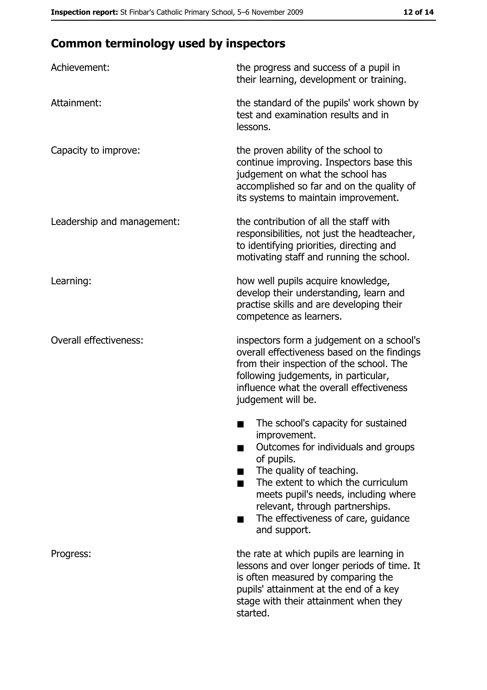# **Common terminology used by inspectors**

| Achievement:                  | the progress and success of a pupil in<br>their learning, development or training.                                                                                                                                                                                                                                |
|-------------------------------|-------------------------------------------------------------------------------------------------------------------------------------------------------------------------------------------------------------------------------------------------------------------------------------------------------------------|
| Attainment:                   | the standard of the pupils' work shown by<br>test and examination results and in<br>lessons.                                                                                                                                                                                                                      |
| Capacity to improve:          | the proven ability of the school to<br>continue improving. Inspectors base this<br>judgement on what the school has<br>accomplished so far and on the quality of<br>its systems to maintain improvement.                                                                                                          |
| Leadership and management:    | the contribution of all the staff with<br>responsibilities, not just the headteacher,<br>to identifying priorities, directing and<br>motivating staff and running the school.                                                                                                                                     |
| Learning:                     | how well pupils acquire knowledge,<br>develop their understanding, learn and<br>practise skills and are developing their<br>competence as learners.                                                                                                                                                               |
| <b>Overall effectiveness:</b> | inspectors form a judgement on a school's<br>overall effectiveness based on the findings<br>from their inspection of the school. The<br>following judgements, in particular,<br>influence what the overall effectiveness<br>judgement will be.                                                                    |
|                               | The school's capacity for sustained<br>improvement.<br>Outcomes for individuals and groups<br>of pupils.<br>The quality of teaching.<br>The extent to which the curriculum<br>meets pupil's needs, including where<br>relevant, through partnerships.<br>The effectiveness of care, guidance<br>■<br>and support. |
| Progress:                     | the rate at which pupils are learning in<br>lessons and over longer periods of time. It<br>is often measured by comparing the<br>pupils' attainment at the end of a key<br>stage with their attainment when they<br>started.                                                                                      |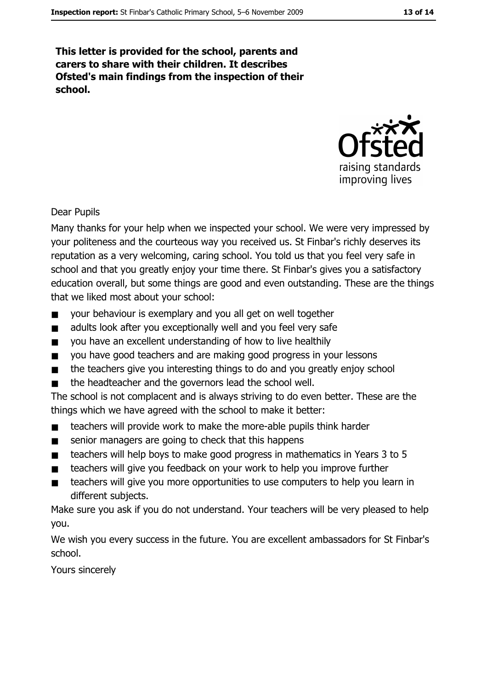This letter is provided for the school, parents and carers to share with their children. It describes Ofsted's main findings from the inspection of their school.



**Dear Pupils** 

Many thanks for your help when we inspected your school. We were very impressed by your politeness and the courteous way you received us. St Finbar's richly deserves its reputation as a very welcoming, caring school. You told us that you feel very safe in school and that you greatly enjoy your time there. St Finbar's gives you a satisfactory education overall, but some things are good and even outstanding. These are the things that we liked most about your school:

- your behaviour is exemplary and you all get on well together  $\blacksquare$
- adults look after you exceptionally well and you feel very safe  $\blacksquare$
- you have an excellent understanding of how to live healthily  $\blacksquare$
- you have good teachers and are making good progress in your lessons  $\blacksquare$
- the teachers give you interesting things to do and you greatly enjoy school  $\blacksquare$
- the headteacher and the governors lead the school well.  $\blacksquare$

The school is not complacent and is always striving to do even better. These are the things which we have agreed with the school to make it better:

- teachers will provide work to make the more-able pupils think harder  $\blacksquare$
- senior managers are going to check that this happens  $\blacksquare$
- teachers will help boys to make good progress in mathematics in Years 3 to 5  $\blacksquare$
- teachers will give you feedback on your work to help you improve further  $\blacksquare$
- teachers will give you more opportunities to use computers to help you learn in  $\blacksquare$ different subjects.

Make sure you ask if you do not understand. Your teachers will be very pleased to help you.

We wish you every success in the future. You are excellent ambassadors for St Finbar's school.

Yours sincerely